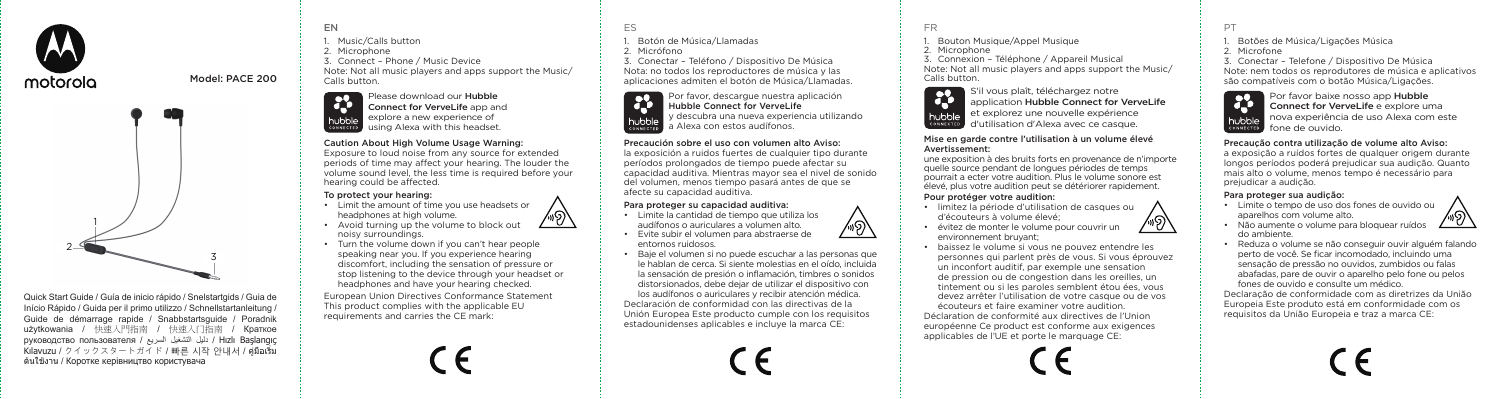



Model: PACE 200

Quick Start Guide / Guía de inicio rápido / Snelstartgids / Guia de Início Rápido / Guida per il primo utilizzo / Schnellstartanleitung / Guide de démarrage rapide / Snabbstartsguide / Poradnik użytkowania / 快速入門指南 / 快速入门指南 / Краткое руководство пользователя / دليل التشغيل السريع السريع المصري pyководство пользователя / Kılavuzu / クイックスタートガイド / 빠른 시작 안내서 / คู่มือเริ่ม ต้นใช้งาน / Коротке керівництво користувача

EN Music/Calls button 2. Microphone 3. Connect – Phone / Music Device Note: Not all music players and apps support the Music/ Calls button.

Please download our Hubble R Connect for VerveLife app and hubble explore a new experience of using Alexa with this headset.

#### Caution About High Volume Usage Warning:

Exposure to loud noise from any source for extended periods of time may affect your hearing. The louder the volume sound level, the less time is required before your hearing could be affected.

## To protect your hearing:

- Limit the amount of time you use headsets or headphones at high volume. ∕⊗∖
- Avoid turning up the volume to block out noisy surroundings.
- Turn the volume down if you can't hear people speaking near you. If you experience hearing discomfort, including the sensation of pressure or stop listening to the device through your headset or headphones and have your hearing checked.

European Union Directives Conformance Statement This product complies with the applicable EU requirements and carries the CE mark:

ES

1. Botón de Música/Llamadas

2. Micrófono

3. Conectar – Teléfono / Dispositivo De Música Nota: no todos los reproductores de música y las aplicaciones admiten el botón de Música/Llamadas.



Por favor, descargue nuestra aplicación Hubble Connect for VerveLife y descubra una nueva experiencia utilizando a Alexa con estos audífonos.

#### Precaución sobre el uso con volumen alto Aviso:

la exposición a ruidos fuertes de cualquier tipo durante períodos prolongados de tiempo puede afectar su capacidad auditiva. Mientras mayor sea el nivel de sonido del volumen, menos tiempo pasará antes de que se afecte su capacidad auditiva.

#### Para proteger su capacidad auditiva:

- Limite la cantidad de tiempo que utiliza los audífonos o auriculares a volumen alto.
- Evite subir el volumen para abstraerse de entornos ruidosos.
- Baje el volumen si no puede escuchar a las personas que le hablan de cerca. Si siente molestias en el oído, incluida la sensación de presión o inflamación, timbres o sonidos distorsionados, debe dejar de utilizar el dispositivo con los audífonos o auriculares y recibir atención médica. Declaración de conformidad con las directivas de la Unión Europea Este producto cumple con los requisitos estadounidenses aplicables e incluye la marca CE:



∕⊛∖

1. Bouton Musique/Appel Musique

2. Microphone

3. Connexion – Téléphone / Appareil Musical Note: Not all music players and apps support the Music/ Calls button.



#### Mise en garde contre l'utilisation à un volume élevé Avertissement:

une exposition à des bruits forts en provenance de n'importe quelle source pendant de longues périodes de temps pourrait a ecter votre audition. Plus le volume sonore est élevé, plus votre audition peut se détériorer rapidement.

#### Pour protéger votre audition:

- limitez la période d'utilisation de casques ou d'écouteurs à volume élevé; ∕⊛∖
- évitez de monter le volume pour couvrir un environnement bruyant;
- baissez le volume si vous ne pouvez entendre les personnes qui parlent près de vous. Si vous éprouvez un inconfort auditif, par exemple une sensation de pression ou de congestion dans les oreilles, un tintement ou si les paroles semblent étou ées, vous devez arrêter l'utilisation de votre casque ou de vos écouteurs et faire examiner votre audition. Déclaration de conformité aux directives de l'Union européenne Ce product est conforme aux exigences applicables de l'UE et porte le marquage CE:



1. Botões de Música/Ligações Música

2. Microfone

3. Conectar – Telefone / Dispositivo De Música Note: nem todos os reprodutores de música e aplicativos são compatíveis com o botão Música/Ligações.



Connect for VerveLife e explore uma nova experiência de uso Alexa com este

#### Precaução contra utilização de volume alto Aviso:

a exposição a ruídos fortes de qualquer origem durante longos períodos poderá prejudicar sua audição. Quanto mais alto o volume, menos tempo é necessário para prejudicar a audição.

## Para proteger sua audição:

- Limite o tempo de uso dos fones de ouvido ou aparelhos com volume alto.
	-
- Não aumente o volume para bloquear ruídos do ambiente.
- Reduza o volume se não conseguir ouvir alguém falando perto de você. Se ficar incomodado, incluindo uma sensação de pressão no ouvidos, zumbidos ou falas abafadas, pare de ouvir o aparelho pelo fone ou pelos fones de ouvido e consulte um médico.

Declaração de conformidade com as diretrizes da União Europeia Este produto está em conformidade com os requisitos da União Europeia e traz a marca CE: